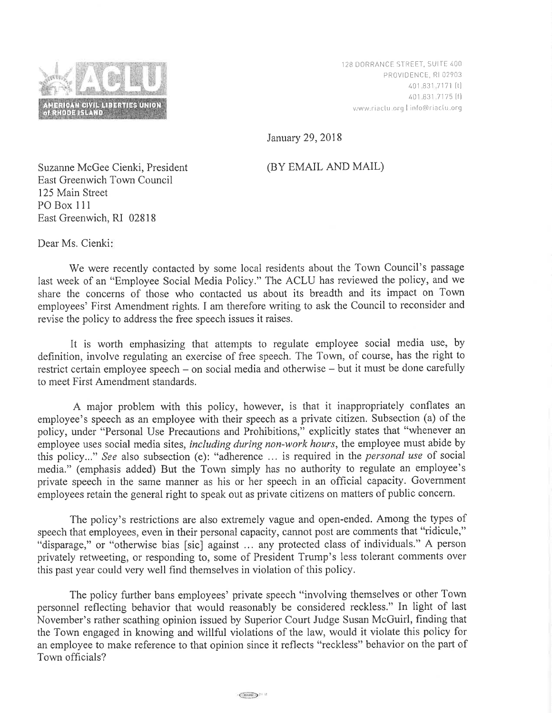

128 DORRANCE STREET, SUITE 400 PROVIDENCE, RI 02903 40 1 .83 1 .7 171 [t] /r01.631 7175 lfl v./\¡/w.ria c Iu. orq I i rrf o(@rracIu. org

January 29,2018

## (BY EMAIL AND MAIL)

Suzanne McGee Cienki, President East Greenwich Town Council 125 Main Street PO Box 111 East Greenwich, RI 02818

Dear Ms. Cienki

We were recently contacted by some local residents about the Town Council's passage Iast week of an "Employee Social Media Policy." The ACLU has reviewed the policy, and we share the concerns of those who contacted us about its breadth and its impact on Town employees' First Amendment rights. I am therefore writing to ask the Council to reconsider and revise the policy to address the free speech issues it raises.

It is worth emphasizing that attempts to regulate employee social media use, by definition, involve regulating an exercise of free speech. The Town, of course, has the right to restrict certain employee speech - on social media and otherwise - but it must be done carefully to meet First Amendment standards.

A major problem with this policy, however, is that it inappropriately conflates an employee's speech as an employee with their speech as a private citizen. Subsection (a) of the policy, under "Personal Use Precautions and Prohibitions," explicitly states that "whenever an employee uses social media sites, *including during non-work hours*, the employee must abide by this policy..." See also subsection (e): "adherence ... is required in the personal use of social media." (emphasis added) But the Town simply has no authority to regulate an employee's private speech in the same manner as his or her speech in an official capacity. Government employees retain the general right to speak out as private citizens on matters of public concern.

The policy's restrictions are also extremely vague and open-ended. Among the types of speech that employees, even in their personal capacity, cannot post are comments that "ridicule," "disparage," or "otherwise bias [sic] against ... any protected class of individuals." A person privately retweeting, or responding to, some of President Trump's less tolerant comments over this past year could very well find themselves in violation of this policy.

The policy further bans employees' private speech "involving themselves or other Town personnel reflecting behavior that would reasonably be considered reckless." In light of last November's rather scathing opinion issued by Superior Court Judge Susan McGuirl, finding that the Town engaged in knowing and willful violations of the law, would it violate this policy for an employee to make reference to that opinion since it reflects "reckless" behavior on the part of Town officials?